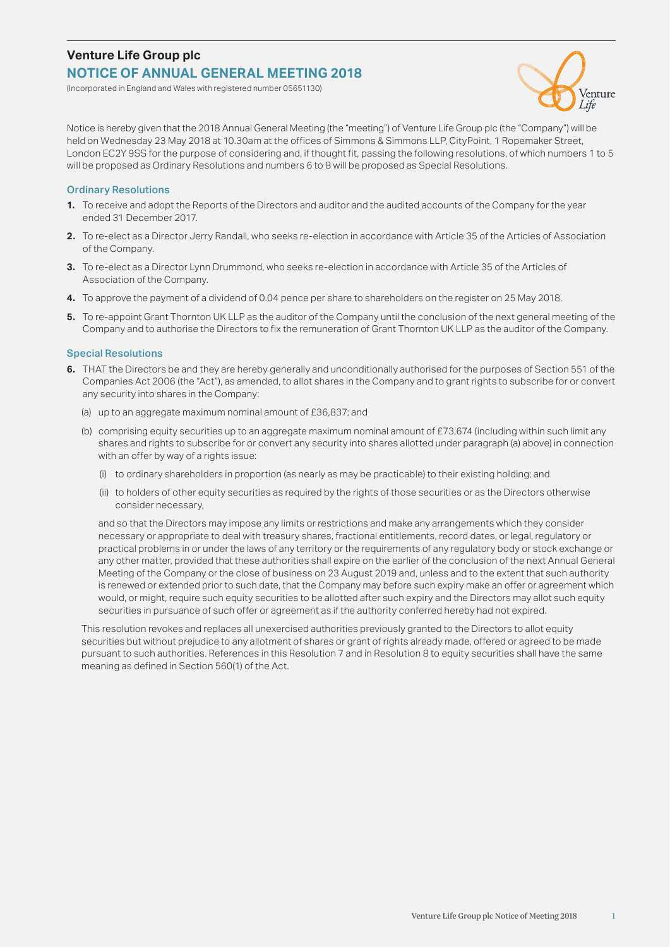# **Venture Life Group plc NOTICE OF ANNUAL GENERAL MEETING 2018**

(Incorporated in England and Wales with registered number 05651130)



Notice is hereby given that the 2018 Annual General Meeting (the "meeting") of Venture Life Group plc (the "Company") will be held on Wednesday 23 May 2018 at 10.30am at the offices of Simmons & Simmons LLP, CityPoint, 1 Ropemaker Street, London EC2Y 9SS for the purpose of considering and, if thought fit, passing the following resolutions, of which numbers 1 to 5 will be proposed as Ordinary Resolutions and numbers 6 to 8 will be proposed as Special Resolutions.

#### Ordinary Resolutions

- **1.** To receive and adopt the Reports of the Directors and auditor and the audited accounts of the Company for the year ended 31 December 2017.
- **2.** To re-elect as a Director Jerry Randall, who seeks re-election in accordance with Article 35 of the Articles of Association of the Company.
- **3.** To re-elect as a Director Lynn Drummond, who seeks re-election in accordance with Article 35 of the Articles of Association of the Company.
- **4.** To approve the payment of a dividend of 0.04 pence per share to shareholders on the register on 25 May 2018.
- **5.** To re-appoint Grant Thornton UK LLP as the auditor of the Company until the conclusion of the next general meeting of the Company and to authorise the Directors to fix the remuneration of Grant Thornton UK LLP as the auditor of the Company.

#### Special Resolutions

- **6.** THAT the Directors be and they are hereby generally and unconditionally authorised for the purposes of Section 551 of the Companies Act 2006 (the "Act"), as amended, to allot shares in the Company and to grant rights to subscribe for or convert any security into shares in the Company:
	- (a) up to an aggregate maximum nominal amount of £36,837; and
	- (b) comprising equity securities up to an aggregate maximum nominal amount of £73,674 (including within such limit any shares and rights to subscribe for or convert any security into shares allotted under paragraph (a) above) in connection with an offer by way of a rights issue:
		- (i) to ordinary shareholders in proportion (as nearly as may be practicable) to their existing holding; and
		- (ii) to holders of other equity securities as required by the rights of those securities or as the Directors otherwise consider necessary,

 and so that the Directors may impose any limits or restrictions and make any arrangements which they consider necessary or appropriate to deal with treasury shares, fractional entitlements, record dates, or legal, regulatory or practical problems in or under the laws of any territory or the requirements of any regulatory body or stock exchange or any other matter, provided that these authorities shall expire on the earlier of the conclusion of the next Annual General Meeting of the Company or the close of business on 23 August 2019 and, unless and to the extent that such authority is renewed or extended prior to such date, that the Company may before such expiry make an offer or agreement which would, or might, require such equity securities to be allotted after such expiry and the Directors may allot such equity securities in pursuance of such offer or agreement as if the authority conferred hereby had not expired.

This resolution revokes and replaces all unexercised authorities previously granted to the Directors to allot equity securities but without prejudice to any allotment of shares or grant of rights already made, offered or agreed to be made pursuant to such authorities. References in this Resolution 7 and in Resolution 8 to equity securities shall have the same meaning as defined in Section 560(1) of the Act.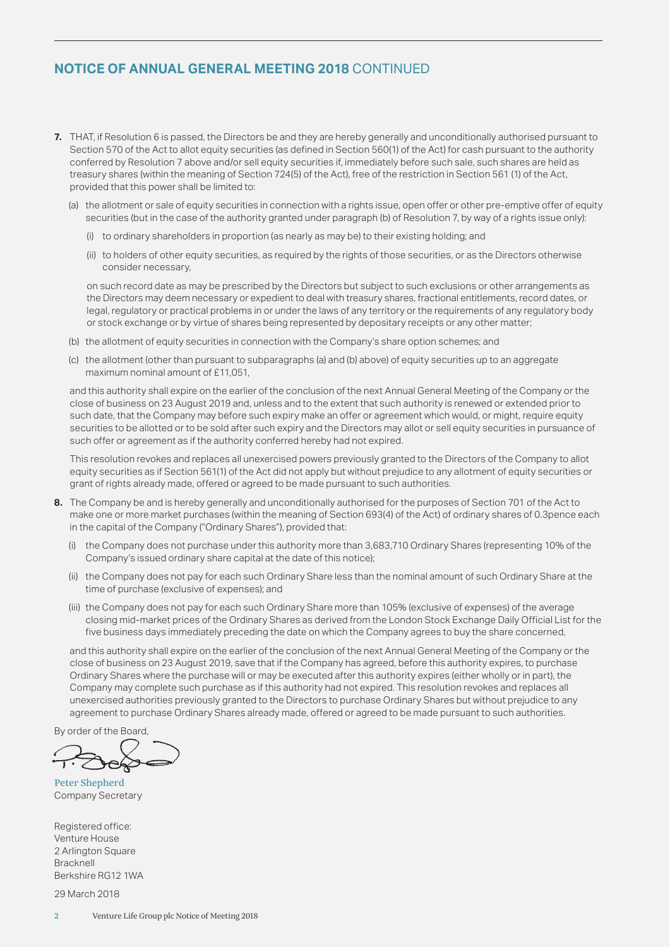## **NOTICE OF ANNUAL GENERAL MEETING 2018** CONTINUED

- **7.** THAT, if Resolution 6 is passed, the Directors be and they are hereby generally and unconditionally authorised pursuant to Section 570 of the Act to allot equity securities (as defined in Section 560(1) of the Act) for cash pursuant to the authority conferred by Resolution 7 above and/or sell equity securities if, immediately before such sale, such shares are held as treasury shares (within the meaning of Section 724(5) of the Act), free of the restriction in Section 561 (1) of the Act, provided that this power shall be limited to:
	- (a) the allotment or sale of equity securities in connection with a rights issue, open offer or other pre-emptive offer of equity securities (but in the case of the authority granted under paragraph (b) of Resolution 7, by way of a rights issue only):
		- (i) to ordinary shareholders in proportion (as nearly as may be) to their existing holding; and
		- (ii) to holders of other equity securities, as required by the rights of those securities, or as the Directors otherwise consider necessary,

 on such record date as may be prescribed by the Directors but subject to such exclusions or other arrangements as the Directors may deem necessary or expedient to deal with treasury shares, fractional entitlements, record dates, or legal, regulatory or practical problems in or under the laws of any territory or the requirements of any regulatory body or stock exchange or by virtue of shares being represented by depositary receipts or any other matter;

- (b) the allotment of equity securities in connection with the Company's share option schemes; and
- (c) the allotment (other than pursuant to subparagraphs (a) and (b) above) of equity securities up to an aggregate maximum nominal amount of £11,051,

 and this authority shall expire on the earlier of the conclusion of the next Annual General Meeting of the Company or the close of business on 23 August 2019 and, unless and to the extent that such authority is renewed or extended prior to such date, that the Company may before such expiry make an offer or agreement which would, or might, require equity securities to be allotted or to be sold after such expiry and the Directors may allot or sell equity securities in pursuance of such offer or agreement as if the authority conferred hereby had not expired.

 This resolution revokes and replaces all unexercised powers previously granted to the Directors of the Company to allot equity securities as if Section 561(1) of the Act did not apply but without prejudice to any allotment of equity securities or grant of rights already made, offered or agreed to be made pursuant to such authorities.

- **8.** The Company be and is hereby generally and unconditionally authorised for the purposes of Section 701 of the Act to make one or more market purchases (within the meaning of Section 693(4) of the Act) of ordinary shares of 0.3pence each in the capital of the Company ("Ordinary Shares"), provided that:
	- (i) the Company does not purchase under this authority more than 3,683,710 Ordinary Shares (representing 10% of the Company's issued ordinary share capital at the date of this notice);
	- (ii) the Company does not pay for each such Ordinary Share less than the nominal amount of such Ordinary Share at the time of purchase (exclusive of expenses); and
	- (iii) the Company does not pay for each such Ordinary Share more than 105% (exclusive of expenses) of the average closing mid-market prices of the Ordinary Shares as derived from the London Stock Exchange Daily Official List for the five business days immediately preceding the date on which the Company agrees to buy the share concerned,

 and this authority shall expire on the earlier of the conclusion of the next Annual General Meeting of the Company or the close of business on 23 August 2019, save that if the Company has agreed, before this authority expires, to purchase Ordinary Shares where the purchase will or may be executed after this authority expires (either wholly or in part), the Company may complete such purchase as if this authority had not expired. This resolution revokes and replaces all unexercised authorities previously granted to the Directors to purchase Ordinary Shares but without prejudice to any agreement to purchase Ordinary Shares already made, offered or agreed to be made pursuant to such authorities.

By order of the Board,

Peter Shepherd Company Secretary

Registered office: Venture House 2 Arlington Square Bracknell Berkshire RG12 1WA

29 March 2018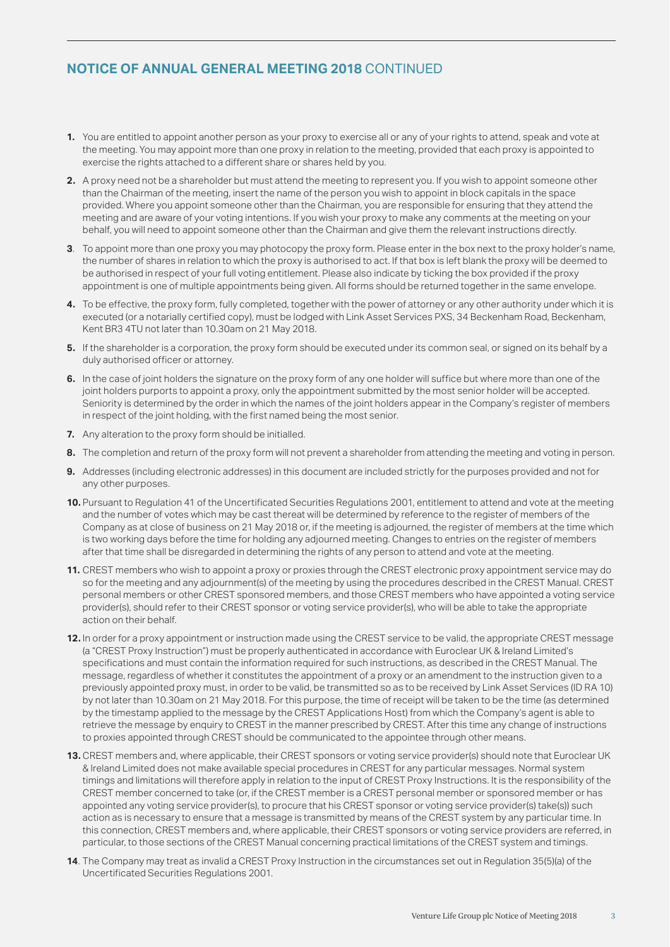## **NOTICE OF ANNUAL GENERAL MEETING 2018** CONTINUED

- **1.** You are entitled to appoint another person as your proxy to exercise all or any of your rights to attend, speak and vote at the meeting. You may appoint more than one proxy in relation to the meeting, provided that each proxy is appointed to exercise the rights attached to a different share or shares held by you.
- **2.** A proxy need not be a shareholder but must attend the meeting to represent you. If you wish to appoint someone other than the Chairman of the meeting, insert the name of the person you wish to appoint in block capitals in the space provided. Where you appoint someone other than the Chairman, you are responsible for ensuring that they attend the meeting and are aware of your voting intentions. If you wish your proxy to make any comments at the meeting on your behalf, you will need to appoint someone other than the Chairman and give them the relevant instructions directly.
- **3**. To appoint more than one proxy you may photocopy the proxy form. Please enter in the box next to the proxy holder's name, the number of shares in relation to which the proxy is authorised to act. If that box is left blank the proxy will be deemed to be authorised in respect of your full voting entitlement. Please also indicate by ticking the box provided if the proxy appointment is one of multiple appointments being given. All forms should be returned together in the same envelope.
- **4.** To be effective, the proxy form, fully completed, together with the power of attorney or any other authority under which it is executed (or a notarially certified copy), must be lodged with Link Asset Services PXS, 34 Beckenham Road, Beckenham, Kent BR3 4TU not later than 10.30am on 21 May 2018.
- **5.** If the shareholder is a corporation, the proxy form should be executed under its common seal, or signed on its behalf by a duly authorised officer or attorney.
- **6.** In the case of joint holders the signature on the proxy form of any one holder will suffice but where more than one of the joint holders purports to appoint a proxy, only the appointment submitted by the most senior holder will be accepted. Seniority is determined by the order in which the names of the joint holders appear in the Company's register of members in respect of the joint holding, with the first named being the most senior.
- **7.** Any alteration to the proxy form should be initialled.
- **8.** The completion and return of the proxy form will not prevent a shareholder from attending the meeting and voting in person.
- **9.** Addresses (including electronic addresses) in this document are included strictly for the purposes provided and not for any other purposes.
- **10.** Pursuant to Regulation 41 of the Uncertificated Securities Regulations 2001, entitlement to attend and vote at the meeting and the number of votes which may be cast thereat will be determined by reference to the register of members of the Company as at close of business on 21 May 2018 or, if the meeting is adjourned, the register of members at the time which is two working days before the time for holding any adjourned meeting. Changes to entries on the register of members after that time shall be disregarded in determining the rights of any person to attend and vote at the meeting.
- **11.** CREST members who wish to appoint a proxy or proxies through the CREST electronic proxy appointment service may do so for the meeting and any adjournment(s) of the meeting by using the procedures described in the CREST Manual. CREST personal members or other CREST sponsored members, and those CREST members who have appointed a voting service provider(s), should refer to their CREST sponsor or voting service provider(s), who will be able to take the appropriate action on their behalf.
- **12.** In order for a proxy appointment or instruction made using the CREST service to be valid, the appropriate CREST message (a "CREST Proxy Instruction") must be properly authenticated in accordance with Euroclear UK & Ireland Limited's specifications and must contain the information required for such instructions, as described in the CREST Manual. The message, regardless of whether it constitutes the appointment of a proxy or an amendment to the instruction given to a previously appointed proxy must, in order to be valid, be transmitted so as to be received by Link Asset Services (ID RA 10) by not later than 10.30am on 21 May 2018. For this purpose, the time of receipt will be taken to be the time (as determined by the timestamp applied to the message by the CREST Applications Host) from which the Company's agent is able to retrieve the message by enquiry to CREST in the manner prescribed by CREST. After this time any change of instructions to proxies appointed through CREST should be communicated to the appointee through other means.
- **13.** CREST members and, where applicable, their CREST sponsors or voting service provider(s) should note that Euroclear UK & Ireland Limited does not make available special procedures in CREST for any particular messages. Normal system timings and limitations will therefore apply in relation to the input of CREST Proxy Instructions. It is the responsibility of the CREST member concerned to take (or, if the CREST member is a CREST personal member or sponsored member or has appointed any voting service provider(s), to procure that his CREST sponsor or voting service provider(s) take(s)) such action as is necessary to ensure that a message is transmitted by means of the CREST system by any particular time. In this connection, CREST members and, where applicable, their CREST sponsors or voting service providers are referred, in particular, to those sections of the CREST Manual concerning practical limitations of the CREST system and timings.
- **14**. The Company may treat as invalid a CREST Proxy Instruction in the circumstances set out in Regulation 35(5)(a) of the Uncertificated Securities Regulations 2001.